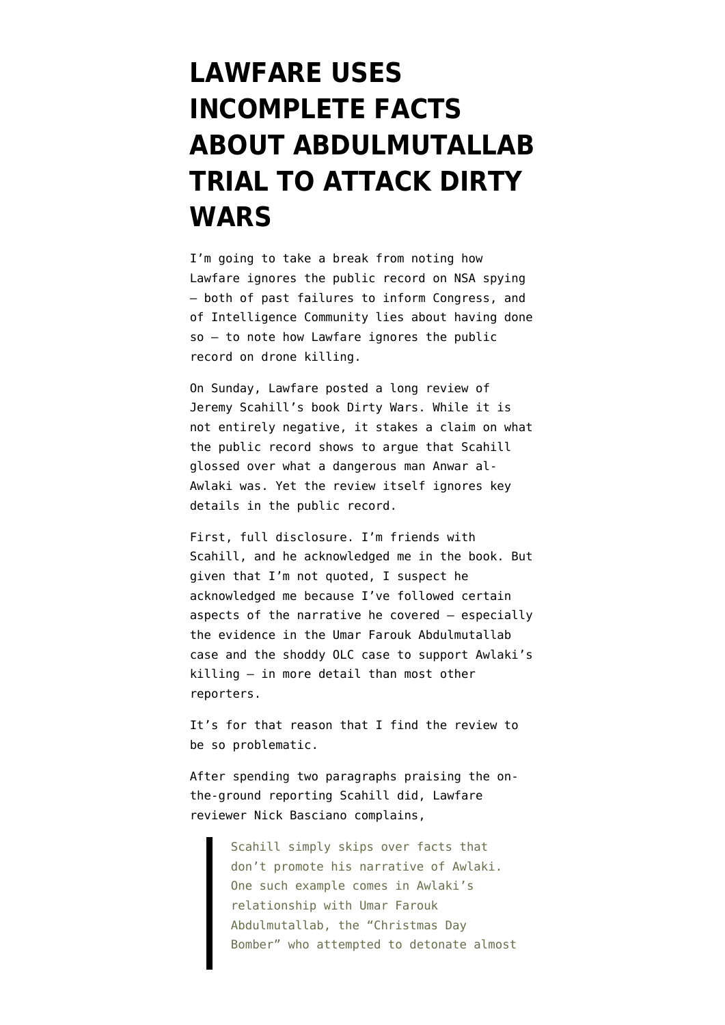## **[LAWFARE USES](https://www.emptywheel.net/2013/11/05/lawfare-uses-incomplete-facts-about-abdulmutallab-trial-to-attack-dirty-wars/) [INCOMPLETE FACTS](https://www.emptywheel.net/2013/11/05/lawfare-uses-incomplete-facts-about-abdulmutallab-trial-to-attack-dirty-wars/) [ABOUT ABDULMUTALLAB](https://www.emptywheel.net/2013/11/05/lawfare-uses-incomplete-facts-about-abdulmutallab-trial-to-attack-dirty-wars/) [TRIAL TO ATTACK DIRTY](https://www.emptywheel.net/2013/11/05/lawfare-uses-incomplete-facts-about-abdulmutallab-trial-to-attack-dirty-wars/) [WARS](https://www.emptywheel.net/2013/11/05/lawfare-uses-incomplete-facts-about-abdulmutallab-trial-to-attack-dirty-wars/)**

I'm going to take a break from noting how Lawfare [ignores the public record on NSA spying](http://www.emptywheel.net/2013/11/05/nsa-lost-the-house-judiciary-committee-during-the-2011-patriot-act-reauthorization/) — both of past failures to inform Congress, and of Intelligence Community lies about having done so — to note how Lawfare ignores the public record on drone killing.

On Sunday, Lawfare [posted a long review](http://www.lawfareblog.com/2013/11/dirty-wars-the-world-is-a-battlefield/) of Jeremy Scahill's book [Dirty Wars.](http://dirtywars.org/) While it is not entirely negative, it stakes a claim on what the public record shows to argue that Scahill glossed over what a dangerous man Anwar al-Awlaki was. Yet the review itself ignores key details in the public record.

First, full disclosure. I'm friends with Scahill, and he acknowledged me in the book. But given that I'm not quoted, I suspect he acknowledged me because I've followed certain aspects of the narrative he covered — especially the evidence in the Umar Farouk Abdulmutallab case and the shoddy OLC case to support Awlaki's killing — in more detail than most other reporters.

It's for that reason that I find the review to be so problematic.

After spending two paragraphs praising the onthe-ground reporting Scahill did, Lawfare reviewer Nick Basciano complains,

> Scahill simply skips over facts that don't promote his narrative of Awlaki. One such example comes in Awlaki's relationship with Umar Farouk Abdulmutallab, the "Christmas Day Bomber" who attempted to detonate almost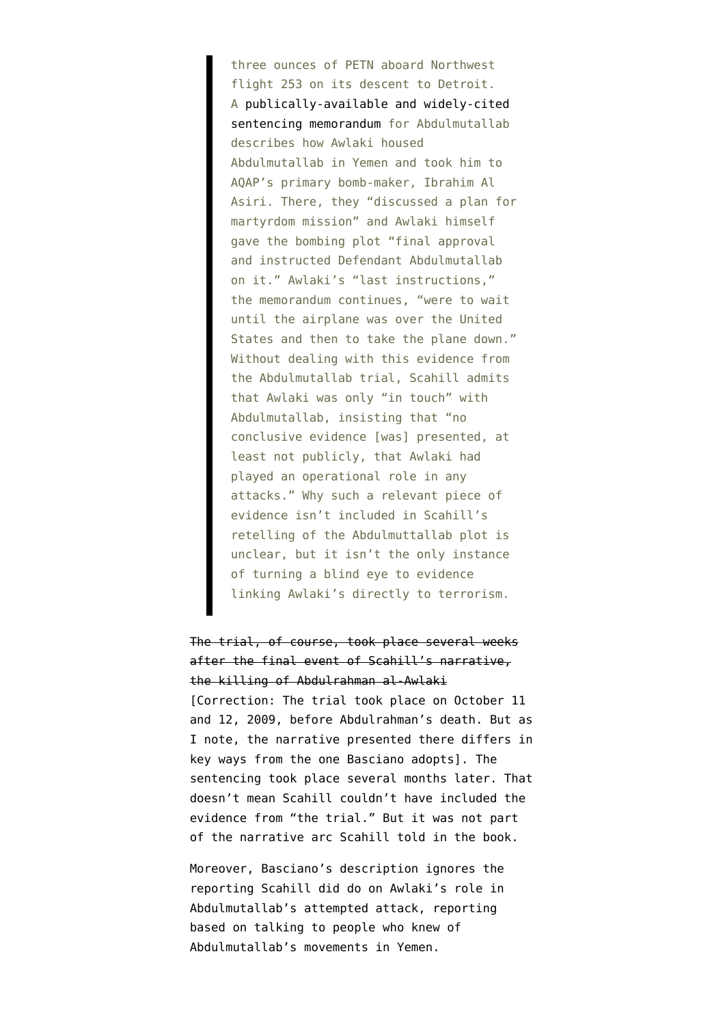three ounces of PETN aboard Northwest flight 253 on its descent to Detroit. A [publically-available and widely-cited](http://www.washingtonpost.com/wp-srv/world/documents/umar-farouk-abdul-mutallab-sentence-brief.pdf) [sentencing memorandum](http://www.washingtonpost.com/wp-srv/world/documents/umar-farouk-abdul-mutallab-sentence-brief.pdf) for Abdulmutallab describes how Awlaki housed Abdulmutallab in Yemen and took him to AQAP's primary bomb-maker, Ibrahim Al Asiri. There, they "discussed a plan for martyrdom mission" and Awlaki himself gave the bombing plot "final approval and instructed Defendant Abdulmutallab on it." Awlaki's "last instructions," the memorandum continues, "were to wait until the airplane was over the United States and then to take the plane down." Without dealing with this evidence from the Abdulmutallab trial, Scahill admits that Awlaki was only "in touch" with Abdulmutallab, insisting that "no conclusive evidence [was] presented, at least not publicly, that Awlaki had played an operational role in any attacks." Why such a relevant piece of evidence isn't included in Scahill's retelling of the Abdulmuttallab plot is unclear, but it isn't the only instance of turning a blind eye to evidence linking Awlaki's directly to terrorism.

The trial, of course, took place several weeks after the final event of Scahill's narrative, the killing of Abdulrahman al-Awlaki [Correction: The trial took place on October 11 and 12, 2009, before Abdulrahman's death. But as I note, the narrative presented there differs in key ways from the one Basciano adopts]. The sentencing took place several months later. That doesn't mean Scahill couldn't have included the evidence from "the trial." But it was not part of the narrative arc Scahill told in the book.

Moreover, Basciano's description ignores the reporting Scahill did do on Awlaki's role in Abdulmutallab's attempted attack, reporting based on talking to people who knew of Abdulmutallab's movements in Yemen.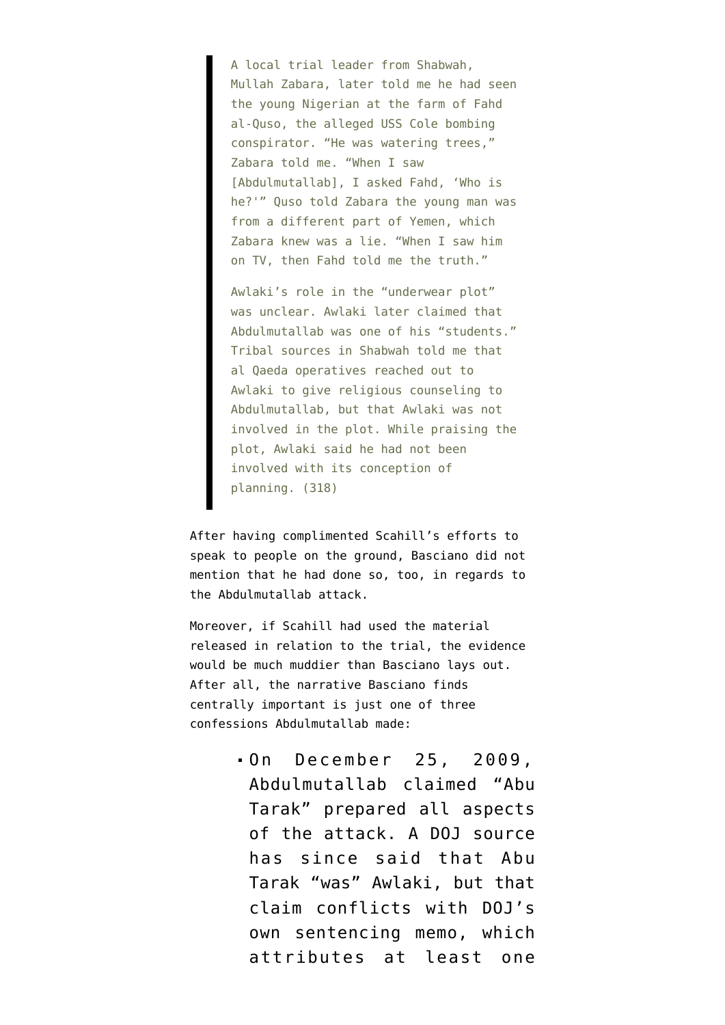A local trial leader from Shabwah, Mullah Zabara, later told me he had seen the young Nigerian at the farm of Fahd al-Quso, the alleged USS Cole bombing conspirator. "He was watering trees," Zabara told me. "When I saw [Abdulmutallab], I asked Fahd, 'Who is he?'" Quso told Zabara the young man was from a different part of Yemen, which Zabara knew was a lie. "When I saw him on TV, then Fahd told me the truth."

Awlaki's role in the "underwear plot" was unclear. Awlaki later claimed that Abdulmutallab was one of his "students." Tribal sources in Shabwah told me that al Qaeda operatives reached out to Awlaki to give religious counseling to Abdulmutallab, but that Awlaki was not involved in the plot. While praising the plot, Awlaki said he had not been involved with its conception of planning. (318)

After having complimented Scahill's efforts to speak to people on the ground, Basciano did not mention that he had done so, too, in regards to the Abdulmutallab attack.

Moreover, if Scahill had used the material released in relation to the trial, the evidence would be much muddier than Basciano lays out. After all, the narrative Basciano finds centrally important is just one of three confessions Abdulmutallab made:

> On December 25, 2009, Abdulmutallab [claimed](http://www.emptywheel.net/2012/02/14/when-was-doj-going-to-get-around-to-telling-us-about-awlaki-part-one/) "Abu Tarak" prepared all aspects of the attack. A DOJ source has since said that Abu Tarak "was" Awlaki, but that claim conflicts with DOJ's own sentencing memo, which attributes at least one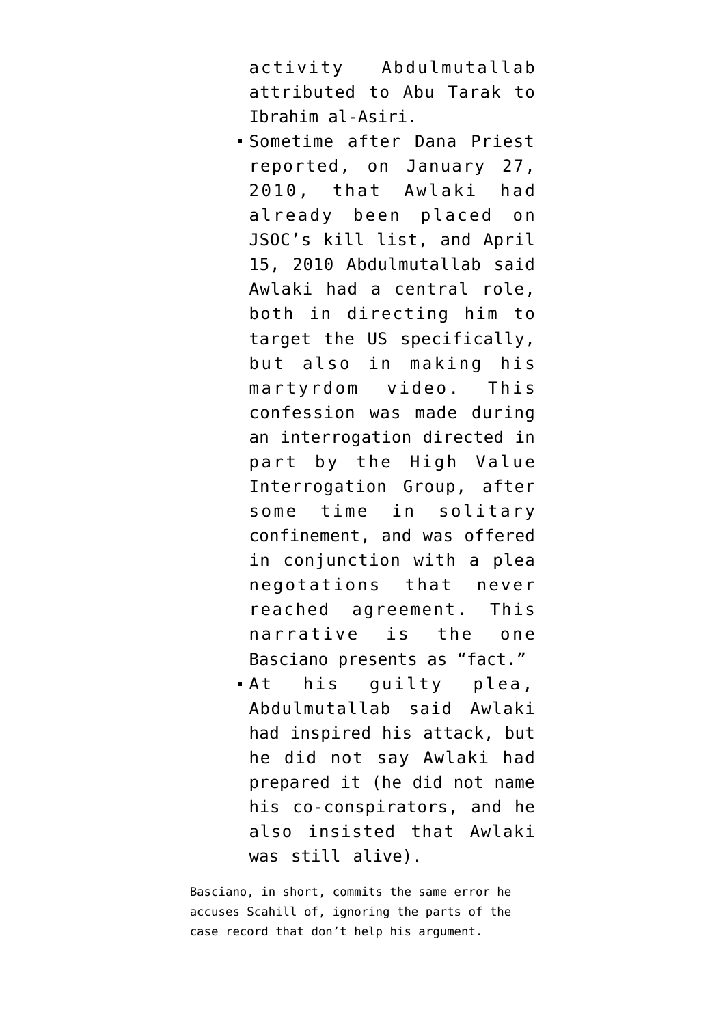activity Abdulmutallab attributed to Abu Tarak to Ibrahim al-Asiri.

- Sometime after Dana Priest [reported](http://www.washingtonpost.com/wp-dyn/content/article/2010/01/26/AR2010012604239_pf.html), on January 27, 2010, that Awlaki had already been placed on JSOC's kill list, and April 15, 2010 Abdulmutallab said Awlaki had a central role, both in directing him to target the US specifically, but also in making his martyrdom video. This confession was made during an interrogation directed in part by the High Value Interrogation Group, after some time in [solitary](http://www.emptywheel.net/2013/05/22/did-solitary-confinement-make-undiebomber-1-0-incompetent-to-represent-himself/) [confinement](http://www.emptywheel.net/2013/05/22/did-solitary-confinement-make-undiebomber-1-0-incompetent-to-represent-himself/), and was offered in [conjunction with a plea](http://www.emptywheel.net/2012/02/14/when-was-doj-going-to-get-around-to-telling-us-about-awlaki-part-one/) [negotations](http://www.emptywheel.net/2012/02/14/when-was-doj-going-to-get-around-to-telling-us-about-awlaki-part-one/) that never reached agreement. This narrative is the one Basciano presents as "fact."
- At his guilty plea, Abdulmutallab [said Awlaki](http://www.emptywheel.net/2013/05/22/in-guilty-plea-abdulmutallab-named-awlaki-as-inspiration-not-as-co-conspirator/) [had inspired his attack](http://www.emptywheel.net/2013/05/22/in-guilty-plea-abdulmutallab-named-awlaki-as-inspiration-not-as-co-conspirator/), but he did not say Awlaki had prepared it (he did not name his co-conspirators, and he also insisted that Awlaki was still alive).

Basciano, in short, commits the same error he accuses Scahill of, ignoring the parts of the case record that don't help his argument.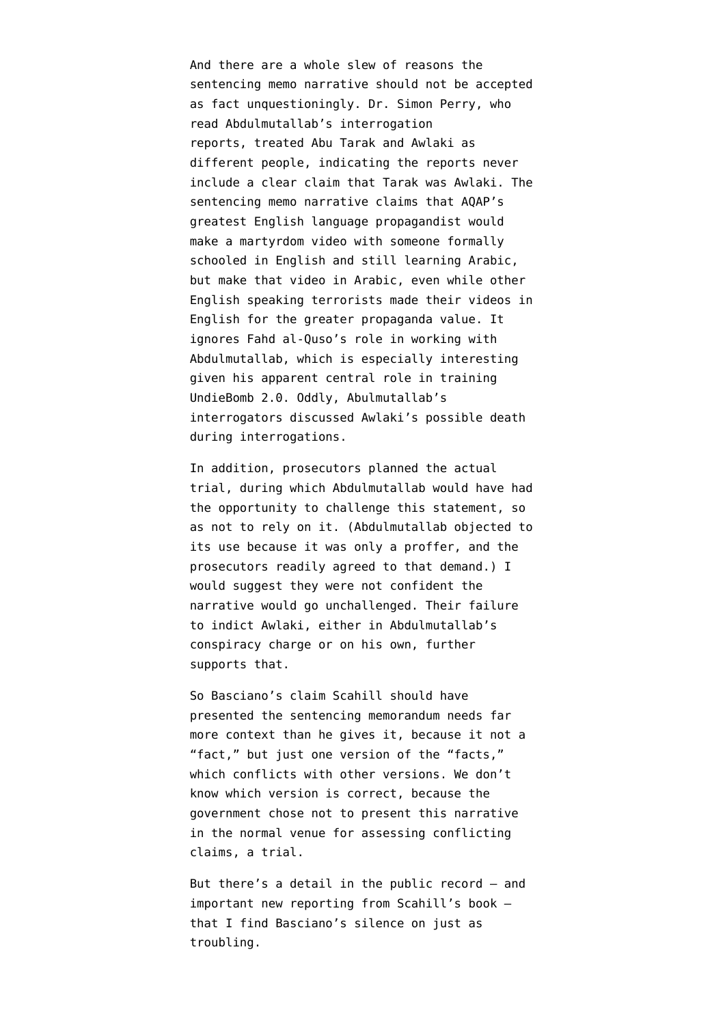And there are a whole slew of reasons the sentencing memo narrative should not be accepted as fact unquestioningly. Dr. Simon Perry, who read Abdulmutallab's interrogation reports, [treated Abu Tarak and Awlaki as](http://www.emptywheel.net/2012/02/11/why-has-the-government-story-about-who-ordered-the-undiebomber-to-attack-the-us-changed/) [different people,](http://www.emptywheel.net/2012/02/11/why-has-the-government-story-about-who-ordered-the-undiebomber-to-attack-the-us-changed/) indicating the reports never include a clear claim that Tarak was Awlaki. The sentencing memo narrative [claims](http://www.emptywheel.net/2013/06/02/why-would-the-undiebomber-make-a-martyrdom-video-in-arabic/) that AQAP's greatest English language propagandist would make a martyrdom video with someone formally schooled in English and still learning Arabic, but make that video in Arabic, even while other English speaking terrorists made their videos in English for the greater propaganda value. It ignores [Fahd al-Quso's](http://www.emptywheel.net/2013/05/21/why-would-the-us-shield-fahd-al-quso-in-february-2012-but-drone-kill-him-in-may-2012/) role in working with Abdulmutallab, which is especially interesting given his apparent central role in training UndieBomb 2.0. Oddly, Abulmutallab's interrogators [discussed](http://www.emptywheel.net/2012/02/13/the-undiebombers-interrogators-talked-about-anwar-al-awlakis-death-just-after-he-was-put-on-kill-list/) Awlaki's possible death during interrogations.

In addition, prosecutors planned the actual trial, during which Abdulmutallab would have had the opportunity to challenge this statement, so as not to rely on it. (Abdulmutallab objected to its use because it was only a proffer, and the prosecutors readily agreed to that demand.) I would suggest they were not confident the narrative would go unchallenged. Their [failure](http://www.emptywheel.net/2013/04/30/exploitation-and-high-value-interrogation-group/) [to indict](http://www.emptywheel.net/2013/04/30/exploitation-and-high-value-interrogation-group/) Awlaki, either in Abdulmutallab's conspiracy charge or on his own, further supports that.

So Basciano's claim Scahill should have presented the sentencing memorandum needs far more context than he gives it, because it not a "fact," but just one version of the "facts," which conflicts with other versions. We don't know which version is correct, because the government chose not to present this narrative in the normal venue for assessing conflicting claims, a trial.

But there's a detail in the public record — and important new reporting from Scahill's book that I find Basciano's silence on just as troubling.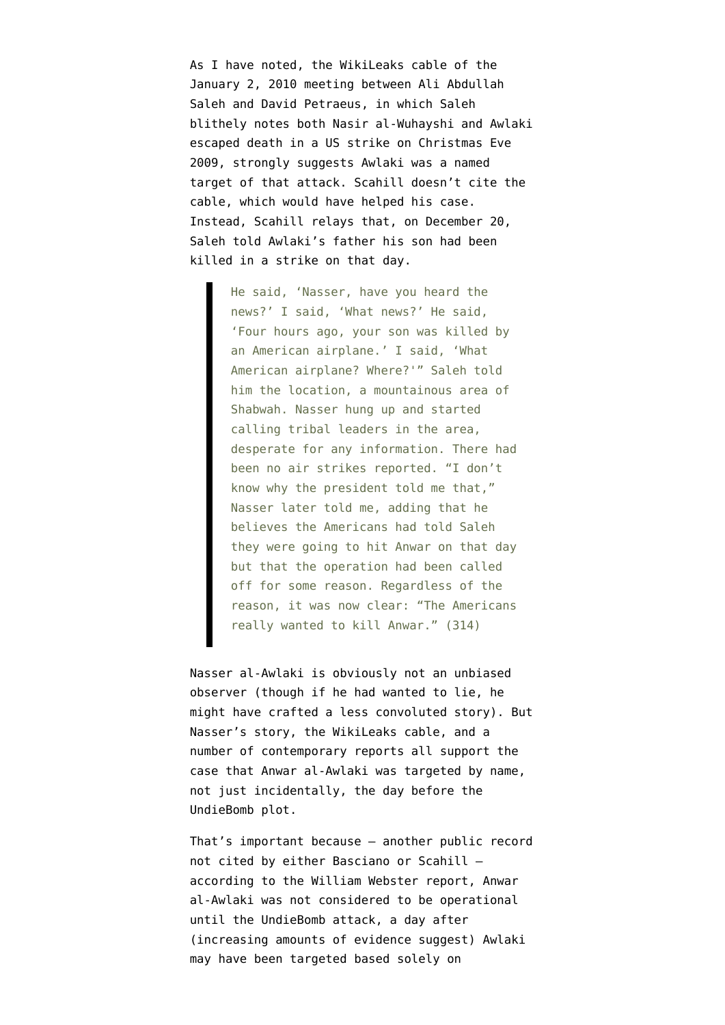As I have [noted,](http://www.emptywheel.net/2012/07/25/what-was-the-evidence-supporting-the-first-strike-on-anwar-al-awlaki/) the [WikiLeaks cable](https://search.wikileaks.org/plusd/cables/10SANAA4_a.html) of the January 2, 2010 meeting between Ali Abdullah Saleh and David Petraeus, in which Saleh blithely notes both Nasir al-Wuhayshi and Awlaki escaped death in a US strike on Christmas Eve 2009, strongly suggests Awlaki was a named target of that attack. Scahill doesn't cite the cable, which would have helped his case. Instead, Scahill relays that, on December 20, Saleh told Awlaki's father his son had been killed in a strike on that day.

> He said, 'Nasser, have you heard the news?' I said, 'What news?' He said, 'Four hours ago, your son was killed by an American airplane.' I said, 'What American airplane? Where?'" Saleh told him the location, a mountainous area of Shabwah. Nasser hung up and started calling tribal leaders in the area, desperate for any information. There had been no air strikes reported. "I don't know why the president told me that," Nasser later told me, adding that he believes the Americans had told Saleh they were going to hit Anwar on that day but that the operation had been called off for some reason. Regardless of the reason, it was now clear: "The Americans really wanted to kill Anwar." (314)

Nasser al-Awlaki is obviously not an unbiased observer (though if he had wanted to lie, he might have crafted a less convoluted story). But Nasser's story, the WikiLeaks cable, and a number of contemporary reports all support the case that Anwar al-Awlaki was targeted by name, not just incidentally, the day before the UndieBomb plot.

That's important because — another public record not cited by either Basciano or Scahill according to the [William Webster report,](http://www.fbi.gov/news/pressrel/press-releases/final-report-of-the-william-h.-webster-commission) Anwar al-Awlaki was not considered to be operational until the UndieBomb attack, a day after (increasing amounts of evidence suggest) Awlaki may have been targeted based solely on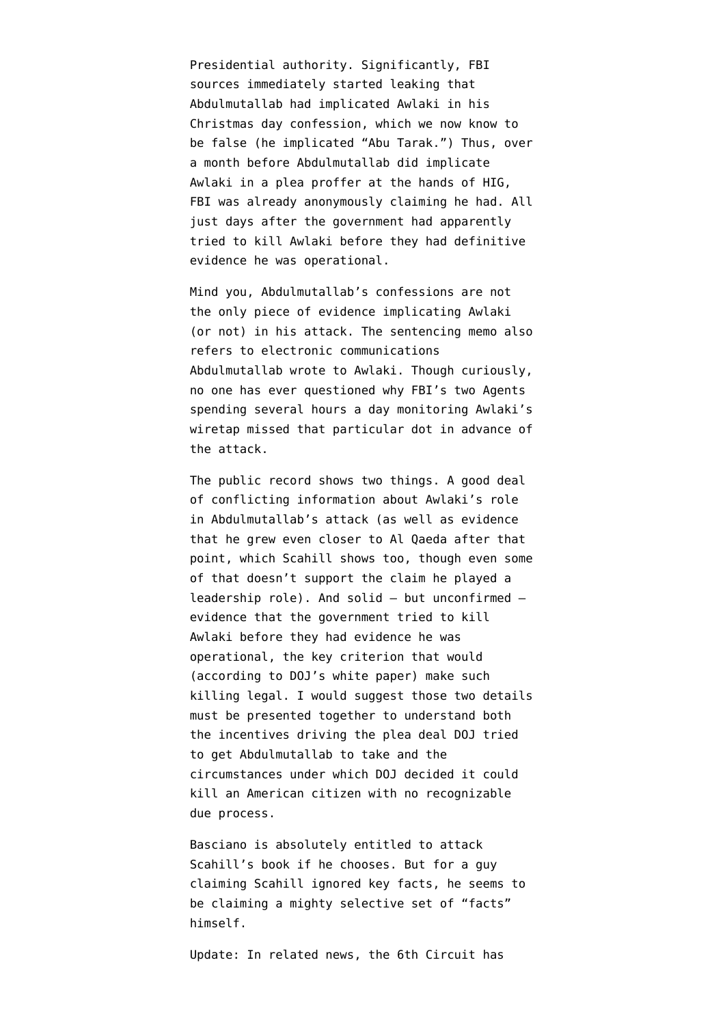Presidential authority. Significantly, FBI sources [immediately started leaking](http://www.washingtontimes.com/news/2009/dec/29/awlaki-personally-blessed-detroit-attack/?page=all) that Abdulmutallab had implicated Awlaki in his Christmas day confession, which we now know to be false (he implicated "Abu Tarak.") Thus, over a month before Abdulmutallab did implicate Awlaki in a plea proffer at the hands of HIG, FBI was already anonymously claiming he had. All just days after the government had apparently tried to kill Awlaki before they had definitive evidence he was operational.

Mind you, Abdulmutallab's confessions are not the only piece of evidence implicating Awlaki (or not) in his attack. The sentencing memo also refers to electronic communications Abdulmutallab wrote to Awlaki. Though curiously, [no one has ever questioned](http://www.emptywheel.net/2013/10/14/dianne-feinsteins-pre-undiebomb-thinking/) why FBI's two Agents spending several hours a day monitoring Awlaki's wiretap missed that particular dot in advance of the attack.

The public record shows two things. A good deal of conflicting information about Awlaki's role in Abdulmutallab's attack (as well as evidence that he grew even closer to Al Qaeda after that point, which Scahill shows too, though even some of that doesn't support the claim he played a leadership role). And solid — but unconfirmed evidence that the government tried to kill Awlaki before they had evidence he was operational, the key criterion that would (according to DOJ's [white paper\)](https://www.documentcloud.org/documents/602342-draft-white-paper.html) make such killing legal. I would suggest those two details must be presented together to understand both the incentives driving the plea deal DOJ tried to get Abdulmutallab to take and the circumstances under which DOJ decided it could kill an American citizen with no recognizable due process.

Basciano is absolutely entitled to attack Scahill's book if he chooses. But for a guy claiming Scahill ignored key facts, he seems to be claiming a mighty selective set of "facts" himself.

Update: In related news, the 6th Circuit has